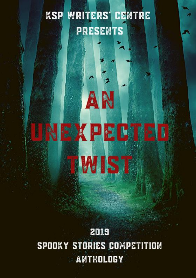# **WRITERS' CENTRE KSP PRESENTS**

AN

EXPECTED

**WIST** 

2019 SPOOKY STORIES COMPETITION **ANTHOLOGY**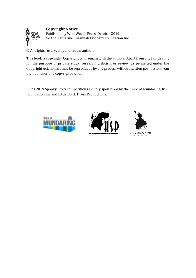#### **Copyright Notice**



Published by Wild Weeds Press, October 2019 for the Katharine Susannah Prichard Foundation Inc

© All rights reserved by individual authors

This book is copyright. Copyright will remain with the authors. Apart from any fair dealing for the purpose of private study, research, criticism or review, as permitted under the Copyright Act, no part may be reproduced by any process without written permission from the publisher and copyright owner.

KSP's 2019 Spooky Story competition is kindly sponsored by the Shire of Mundaring, KSP Foundation Inc and Little Black Dress Productions.



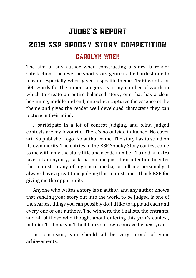# Judge's Report 2019 KSP Spooky Story Competition Carolyn Wren

The aim of any author when constructing a story is reader satisfaction. I believe the short story genre is the hardest one to master, especially when given a specific theme. 1500 words, or 500 words for the junior category, is a tiny number of words in which to create an entire balanced story; one that has a clear beginning, middle and end; one which captures the essence of the theme and gives the reader well developed characters they can picture in their mind.

I participate in a lot of contest judging, and blind judged contests are my favourite. There's no outside influence. No cover art. No publisher logo. No author name. The story has to stand on its own merits. The entries in the KSP Spooky Story contest come to me with only the story title and a code number. To add an extra layer of anonymity, I ask that no one post their intention to enter the contest to any of my social media, or tell me personally. I always have a great time judging this contest, and I thank KSP for giving me the opportunity.

Anyone who writes a story is an author, and any author knows that sending your story out into the world to be judged is one of the scariest things you can possibly do. I'd like to applaud each and every one of our authors. The winners, the finalists, the entrants, and all of those who thought about entering this year's contest, but didn't. I hope you'll build up your own courage by next year.

In conclusion, you should all be very proud of your achievements.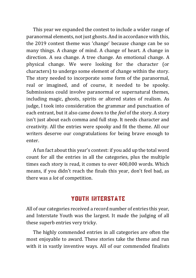This year we expanded the contest to include a wider range of paranormal elements, not just ghosts. And in accordance with this, the 2019 contest theme was 'change' because change can be so many things. A change of mind. A change of heart. A change in direction. A sea change. A tree change. An emotional change. A physical change. We were looking for the character (or characters) to undergo some element of change within the story. The story needed to incorporate some form of the paranormal, real or imagined, and of course, it needed to be spooky. Submissions could involve paranormal or supernatural themes, including magic, ghosts, spirits or altered states of realism. As judge, I took into consideration the grammar and punctuation of each entrant, but it also came down to the *feel* of the story. A story isn't just about each comma and full stop. It needs character and creativity. All the entries were spooky and fit the theme. All our writers deserve our congratulations for being brave enough to enter.

A fun fact about this year's contest: if you add up the total word count for all the entries in all the categories, plus the multiple times each story is read, it comes to over 400,000 words. Which means, if you didn't reach the finals this year, don't feel bad, as there was a *lot* of competition.

## **YOUTH INTERSTATE**

All of our categories received a record number of entries this year, and Interstate Youth was the largest. It made the judging of all these superb entries very tricky.

The highly commended entries in all categories are often the most enjoyable to award. These stories take the theme and run with it in vastly inventive ways. All of our commended finalists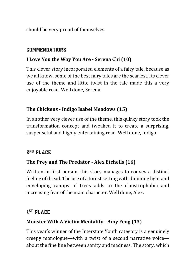should be very proud of themselves.

#### **COMMENDATIONS**

### **I Love You the Way You Are - Serena Chi (10)**

This clever story incorporated elements of a fairy tale, because as we all know, some of the best fairy tales are the scariest. Its clever use of the theme and little twist in the tale made this a very enjoyable read. Well done, Serena.

### **The Chickens - Indigo Isabel Meadows (15)**

In another very clever use of the theme, this quirky story took the transformation concept and tweaked it to create a surprising, suspenseful and highly entertaining read. Well done, Indigo.

## 2<sup>nd</sup> Place

### **The Prey and The Predator - Alex Etchells (16)**

Written in first person, this story manages to convey a distinct feeling of dread. The use of a forest setting with dimming light and enveloping canopy of trees adds to the claustrophobia and increasing fear of the main character. Well done, Alex.

## 1 st Place

### **Monster With A Victim Mentality - Amy Feng (13)**

This year's winner of the Interstate Youth category is a genuinely creepy monologue—with a twist of a second narrative voice about the fine line between sanity and madness. The story, which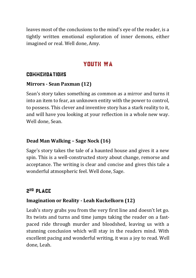leaves most of the conclusions to the mind's eye of the reader, is a tightly written emotional exploration of inner demons, either imagined or real. Well done, Amy.

## **YOUTH WA**

### **COMMENDATIONS**

### **Mirrors - Sean Paxman (12)**

Sean's story takes something as common as a mirror and turns it into an item to fear, an unknown entity with the power to control, to possess. This clever and inventive story has a stark reality to it, and will have you looking at your reflection in a whole new way. Well done, Sean.

### **Dead Man Walking – Sage Nock (16)**

Sage's story takes the tale of a haunted house and gives it a new spin. This is a well-constructed story about change, remorse and acceptance. The writing is clear and concise and gives this tale a wonderful atmospheric feel. Well done, Sage.

## 2<sup>nd</sup> PLACE

## **Imagination or Reality - Leah Kuckelkorn (12)**

Leah's story grabs you from the very first line and doesn't let go. Its twists and turns and time jumps taking the reader on a fastpaced ride through murder and bloodshed, leaving us with a stunning conclusion which will stay in the readers mind. With excellent pacing and wonderful writing, it was a joy to read. Well done, Leah.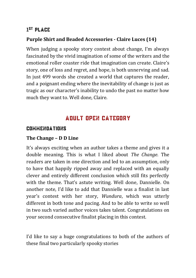## 1 st Place

### **Purple Shirt and Beaded Accessories - Claire Luces (14)**

When judging a spooky story contest about change, I'm always fascinated by the vivid imagination of some of the writers and the emotional roller coaster ride that imagination can create. Claire's story, one of loss and regret, and hope, is both unnerving and sad. In just 499 words she created a world that captures the reader, and a poignant ending where the inevitability of change is just as tragic as our character's inability to undo the past no matter how much they want to. Well done, Claire.

## Adult Open Category

### **COMMENDATIONS**

### **The Change – D D Line**

It's always exciting when an author takes a theme and gives it a double meaning. This is what I liked about *The Change*. The readers are taken in one direction and led to an assumption, only to have that happily ripped away and replaced with an equally clever and entirely different conclusion which still fits perfectly with the theme. That's astute writing. Well done, Dannielle. On another note, I'd like to add that Dannielle was a finalist in last year's contest with her story, *Wundura*, which was utterly different in both tone and pacing. And to be able to write so well in two such varied author voices takes talent. Congratulations on your second consecutive finalist placing in this contest.

I'd like to say a huge congratulations to both of the authors of these final two particularly spooky stories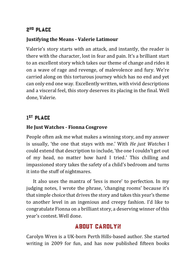## 2<sup>nd</sup> Place

### **Justifying the Means - Valerie Latimour**

Valerie's story starts with an attack, and instantly, the reader is there with the character, lost in fear and pain. It's a brilliant start to an excellent story which takes our theme of change and rides it on a wave of rage and revenge, of malevolence and fury. We're carried along on this torturous journey which has no end and yet can only end one way. Excellently written, with vivid descriptions and a visceral feel, this story deserves its placing in the final. Well done, Valerie.

## 1 st Place

## **He Just Watches - Fionna Cosgrove**

People often ask me what makes a winning story, and my answer is usually, 'the one that stays with me.' With *He just Watches* I could extend that description to include, 'the one I couldn't get out of my head, no matter how hard I tried.' This chilling and impassioned story takes the safety of a child's bedroom and turns it into the stuff of nightmares.

It also uses the mantra of 'less is more' to perfection. In my judging notes, I wrote the phrase, 'changing rooms' because it's that simple choice that drives the story and takes this year's theme to another level in an ingenious and creepy fashion. I'd like to congratulate Fionna on a brilliant story, a deserving winner of this year's contest. Well done.

## **ABOUT CAROLYN**

Carolyn Wren is a UK-born Perth Hills-based author. She started writing in 2009 for fun, and has now published fifteen books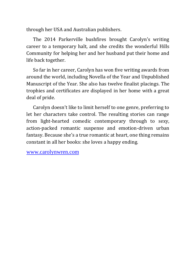through her USA and Australian publishers.

The 2014 Parkerville bushfires brought Carolyn's writing career to a temporary halt, and she credits the wonderful Hills Community for helping her and her husband put their home and life back together.

So far in her career, Carolyn has won five writing awards from around the world, including Novella of the Year and Unpublished Manuscript of the Year. She also has twelve finalist placings. The trophies and certificates are displayed in her home with a great deal of pride.

Carolyn doesn't like to limit herself to one genre, preferring to let her characters take control. The resulting stories can range from light-hearted comedic contemporary through to sexy, action-packed romantic suspense and emotion-driven urban fantasy. Because she's a true romantic at heart, one thing remains constant in all her books: she loves a happy ending.

[www.carolynwren.com](http://www.carolynwren.com/)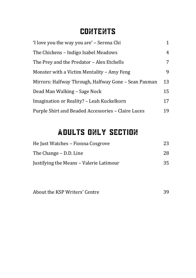## **CONTENTS**

| 'I love you the way you are' - Serena Chi            |    |
|------------------------------------------------------|----|
| The Chickens – Indigo Isabel Meadows                 | 4  |
| The Prey and the Predator - Alex Etchells            | 7  |
| Monster with a Victim Mentality – Amy Feng           | 9  |
| Mirrors: Halfway Through, Halfway Gone - Sean Paxman | 13 |
| Dead Man Walking – Sage Nock                         |    |
| Imagination or Reality? - Leah Kuckelkorn            |    |
| Purple Shirt and Beaded Accessories - Claire Luces   | 19 |

# [ADULTS](#page-31-0) ONLY SECTION

| He Just Watches - Fionna Cosgrove       | 23 |
|-----------------------------------------|----|
| The Change – D.D. Line                  | 28 |
| Justifying the Means - Valerie Latimour | 35 |

| About the KSP Writers' Centre |  |
|-------------------------------|--|
|                               |  |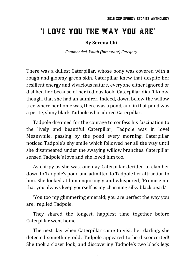## <span id="page-10-0"></span>'I love you the way you are'

#### **By Serena Chi**

*Commended, Youth (Interstate) Category*

There was a dullest Caterpillar, whose body was covered with a rough and gloomy green skin. Caterpillar knew that despite her resilient energy and vivacious nature, everyone either ignored or disliked her because of her tedious look. Caterpillar didn't know, though, that she had an admirer. Indeed, down below the willow tree where her home was, there was a pond, and in that pond was a petite, shiny black Tadpole who adored Caterpillar.

Tadpole dreamed for the courage to confess his fascination to the lively and beautiful Caterpillar; Tadpole was in love! Meanwhile, passing by the pond every morning, Caterpillar noticed Tadpole's shy smile which followed her all the way until she disappeared under the swaying willow branches. Caterpillar sensed Tadpole's love and she loved him too.

As chirpy as she was, one day Caterpillar decided to clamber down to Tadpole's pond and admitted to Tadpole her attraction to him. She looked at him enquiringly and whispered, 'Promise me that you always keep yourself as my charming silky black pearl.'

'You too my glimmering emerald; you are perfect the way you are,' replied Tadpole.

They shared the longest, happiest time together before Caterpillar went home.

The next day when Caterpillar came to visit her darling, she detected something odd; Tadpole appeared to be disconcerted! She took a closer look, and discovering Tadpole's two black legs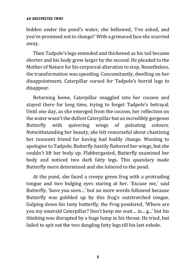#### An Unexpected Twist

hidden under the pond's water, she bellowed, 'I've asked, and you've promised not to change!' With a grimaced face she scurried away.

Then Tadpole's legs extended and thickened as his tail became shorter and his body grew larger by the second. He pleaded to the Mother of Nature for his corporeal alteration to stop. Nonetheless, the transformation was speeding. Concomitantly, dwelling on her disappointment, Caterpillar cursed for Tadpole's horrid legs to disappear.

Returning home, Caterpillar snuggled into her cocoon and stayed there for long time, trying to forget Tadpole's betrayal. Until one day, as she emerged from the cocoon, her reflection on the water wasn't the dullest Caterpillar but an incredibly gorgeous Butterfly with quivering wings of pulsating colours. Notwithstanding her beauty, she felt remorseful about chastising her innocent friend for having had bodily change. Wanting to apologise to Tadpole, Butterfly hastily fluttered her wings, but she couldn't lift her body up. Flabbergasted, Butterfly examined her body and noticed two dark fatty legs. This quandary made Butterfly more determined and she loitered to the pond.

At the pond, she faced a creepy green frog with a protruding tongue and two bulging eyes staring at her. 'Excuse me,' said Butterfly, 'have you seen…' but no more words followed because Butterfly was gobbled up by this frog's outstretched tongue. Gulping down his tasty butterfly, the Frog pondered, 'Where are you my emerald Caterpillar? Don't keep me wait… in... g...' but his thinking was disrupted by a huge lump in his throat. He tried, but failed to spit out the two dangling fatty legs till his last exhale.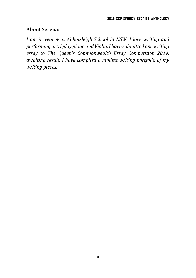#### **About Serena:**

*I am in year 4 at Abbotsleigh School in NSW. I love writing and performing art, I play piano and Violin. I have submitted one writing essay to The Queen's Commonwealth Essay Competition 2019, awaiting result. I have compiled a modest writing portfolio of my writing pieces.*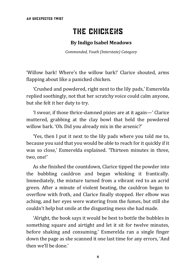# The Chickens

#### **By Indigo Isabel Meadows**

*Commended, Youth (Interstate) Category*

<span id="page-13-0"></span>'Willow bark! Where's the willow bark!' Clarice shouted, arms flapping about like a panicked chicken.

'Crushed and powdered, right next to the lily pads,' Esmerelda replied soothingly, not that her scratchy voice could calm anyone, but she felt it her duty to try.

'I swear, if those thrice-damned pixies are at it again—' Clarice muttered, grabbing at the clay bowl that held the powdered willow bark. 'Oh. Did you already mix in the arsenic?'

'Yes, then I put it next to the lily pads where you told me to, because you said that you would be able to reach for it quickly if it was so close,' Esmerelda explained. 'Thirteen minutes in three, two, one!'

As she finished the countdown, Clarice tipped the powder into the bubbling cauldron and began whisking it frantically. Immediately, the mixture turned from a vibrant red to an acrid green. After a minute of violent beating, the cauldron began to overflow with froth, and Clarice finally stopped. Her elbow was aching, and her eyes were watering from the fumes, but still she couldn't help but smile at the disgusting mess she had made.

'Alright, the book says it would be best to bottle the bubbles in something square and airtight and let it sit for twelve minutes, before shaking and consuming.' Esmerelda ran a single finger down the page as she scanned it one last time for any errors, 'And then we'll be done.'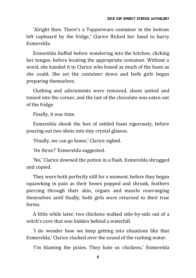'Alright then. There's a Tupperware container in the bottom left cupboard by the fridge,' Clarice flicked her hand to hurry Esmerelda.

Esmerelda huffed before wandering into the kitchen, clicking her tongue, before locating the appropriate container. Without a word, she handed it to Clarice who boxed as much of the foam as she could. She set the container down and both girls began preparing themselves.

Clothing and adornments were removed, shoes untied and tossed into the corner, and the last of the chocolate was eaten out of the fridge.

Finally, it was time.

Esmerelda shook the box of settled foam rigorously, before pouring out two shots into tiny crystal glasses.

'Finally, we can go home,' Clarice sighed.

'On three?' Esmerelda suggested.

'No,' Clarice downed the potion in a flash. Esmerelda shrugged and copied.

They were both perfectly still for a moment, before they began squawking in pain as their bones popped and shrunk, feathers piercing through their skin, organs and muscle rearranging themselves until finally, both girls were returned to their true forms.

A little while later, two chickens walked side-by-side out of a witch's cave that was hidden behind a waterfall

'I do wonder how we keep getting into situations like that Esmerelda,' Clarice clucked over the sound of the rushing water.

'I'm blaming the pixies. They hate us chickens,' Esmerelda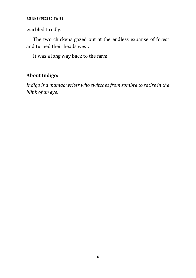#### An Unexpected Twist

warbled tiredly.

The two chickens gazed out at the endless expanse of forest and turned their heads west.

It was a long way back to the farm.

### **About Indigo:**

*Indigo is a maniac writer who switches from sombre to satire in the blink of an eye.*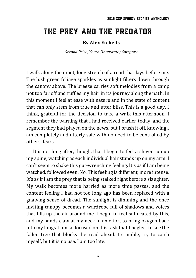## <span id="page-16-0"></span>The Prey and the Predator

#### **By Alex Etchells**

*Second Prize, Youth (Interstate) Category*

I walk along the quiet, long stretch of a road that lays before me. The lush green foliage sparkles as sunlight filters down through the canopy above. The breeze carries soft melodies from a camp not too far off and ruffles my hair in its journey along the path. In this moment I feel at ease with nature and in the state of content that can only stem from true and utter bliss. This is a good day, I think, grateful for the decision to take a walk this afternoon. I remember the warning that I had received earlier today, and the segment they had played on the news, but I brush it off, knowing I am completely and utterly safe with no need to be controlled by others' fears.

It is not long after, though, that I begin to feel a shiver run up my spine, watching as each individual hair stands up on my arm. I can't seem to shake this gut-wrenching feeling. It's as if I am being watched, followed even. No. This feeling is different, more intense. It's as if I am the prey that is being stalked right before a slaughter. My walk becomes more harried as more time passes, and the content feeling I had not too long ago has been replaced with a gnawing sense of dread. The sunlight is dimming and the once inviting canopy becomes a wardrobe full of shadows and voices that fills up the air around me. I begin to feel suffocated by this, and my hands claw at my neck in an effort to bring oxygen back into my lungs. I am so focused on this task that I neglect to see the fallen tree that blocks the road ahead. I stumble, try to catch myself, but it is no use. I am too late.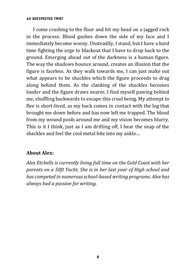#### An Unexpected Twist

I come crashing to the floor and hit my head on a jagged rock in the process. Blood gushes down the side of my face and I immediately become woozy. Unsteadily, I stand, but I have a hard time fighting the urge to blackout that I have to drop back to the ground. Emerging ahead out of the darkness is a human figure. The way the shadows bounce around, creates an illusion that the figure is faceless. As they walk towards me, I can just make out what appears to be shackles which the figure proceeds to drag along behind them. As the clanking of the shackles becomes louder and the figure draws nearer, I find myself pawing behind me, shuffling backwards to escape this cruel being. My attempt to flee is short-lived, as my back comes in contact with the log that brought me down before and has now left me trapped. The blood from my wound pools around me and my vision becomes blurry. This is it I think, just as I am drifting off, I hear the snap of the shackles and feel the cool metal bite into my ankle…

#### **About Alex:**

*Alex Etchells is currently living full time on the Gold Coast with her parents on a 50ft Yacht. She is in her last year of High school and has competed in numerous school-based writing programs. Alex has always had a passion for writing.*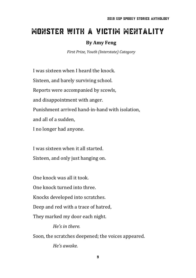# <span id="page-18-0"></span>Monster with a Victim Mentality

#### **By Amy Feng**

*First Prize, Youth (Interstate) Category*

I was sixteen when I heard the knock. Sixteen, and barely surviving school. Reports were accompanied by scowls, and disappointment with anger. Punishment arrived hand-in-hand with isolation, and all of a sudden, I no longer had anyone.

I was sixteen when it all started. Sixteen, and only just hanging on.

One knock was all it took.

One knock turned into three.

Knocks developed into scratches.

Deep and red with a trace of hatred,

They marked my door each night.

*He's in there.*

Soon, the scratches deepened; the voices appeared.

*He's awake.*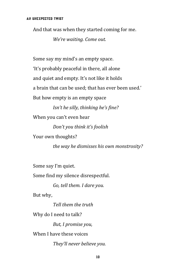And that was when they started coming for me.

*We're waiting. Come out.*

Some say my mind's an empty space. 'It's probably peaceful in there, all alone and quiet and empty. It's not like it holds a brain that can be used; that has ever been used.' But how empty is an empty space

*Isn't he silly, thinking he's fine?*

When you can't even hear

*Don't you think it's foolish*

Your own thoughts?

*the way he dismisses his own monstrosity?*

Some say I'm quiet.

Some find my silence disrespectful.

*Go, tell them. I dare you.*

But why,

*Tell them the truth*

Why do I need to talk?

*But, I promise you,*

When I have these voices

*They'll never believe you.*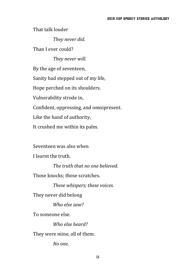That talk louder

*They never did.*

Than I ever could?

*They never will.* By the age of seventeen, Sanity had stepped out of my life, Hope perched on its shoulders. Vulnerability strode in, Confident, oppressing, and omnipresent. Like the hand of authority, It crushed me within its palm.

Seventeen was also when

I learnt the truth.

*The truth that no one believed.*

Those knocks; those scratches.

*These whispers; these voices.*

They never did belong

*Who else saw?*

To someone else.

*Who else heard?*

They were mine, all of them.

*No one.*

11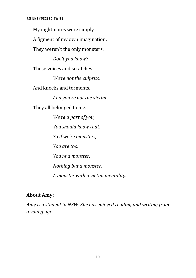My nightmares were simply A figment of my own imagination. They weren't the only monsters. *Don't you know?* Those voices and scratches *We're not the culprits.* And knocks and torments. *And you're not the victim.* They all belonged to me. *We're a part of you, You should know that. So if we're monsters, You are too. You're a monster. Nothing but a monster. A monster with a victim mentality.*

### **About Amy:**

*Amy is a student in NSW. She has enjoyed reading and writing from a young age.*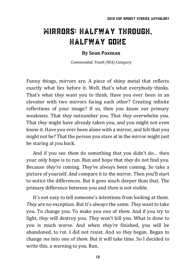# <span id="page-22-0"></span>Mirrors: Halfway Through, Halfway Gone

#### **By Sean Paxman**

*Commended, Youth (WA) Category*

Funny things, mirrors are. A piece of shiny metal that reflects exactly what lies before it. Well, that's what everybody thinks. That's what t*hey* want you to think. Have you ever been in an elevator with two mirrors facing each other? Creating infinite reflections of your image? If so, then you know our primary weakness. That *they* outnumber you. That *they* overwhelm you. That *they* might have already taken you, and you might not even know it. Have you ever been alone with a mirror, and felt that you might not be? That the person you stare at in the mirror might just be staring at you back.

And if you see *them* do something that you didn't do… then your only hope is to run. Run and hope that *they* do not find you. Because *they're* coming. *They've* always been coming. So take a picture of yourself. And compare it to the mirror. Then you'll start to notice the differences. But it goes much deeper than that. The primary difference between you and *them* is not visible.

It's not easy to tell someone's intentions from looking at them. *They* are no exception. But it's always the same. *They* want to take you. To change you. To make you one of *them.* And if you try to fight, *they* will destroy you. *They* won't kill you. What is done to you is much worse. And when *they're* finished, you will be abandoned, to rot. I did not resist. And so *they* began. Began to change *me* into one of *them.* But it will take time. So I decided to write this, a warning to you. Run.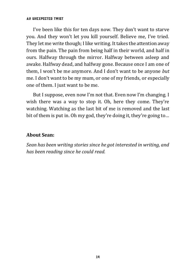#### An Unexpected Twist

I've been like this for ten days now. They don't want to starve you. And they won't let you kill yourself. Believe me, I've tried. They let me write though; I like writing. It takes the attention away from the pain. The pain from being half in their world, and half in ours. Halfway through the mirror. Halfway between asleep and awake. Halfway dead, and halfway gone. Because once I am one of them, I won't be me anymore. And I don't want to be anyone *but*  me. I don't want to be my mum, or one of my friends, or especially one of them. I just want to be me.

But I suppose, even now I'm not that. Even now I'm changing. I wish there was a way to stop it. Oh, here they come. They're watching. Watching as the last bit of me is removed and the last bit of them is put in. Oh my god, they're doing it, they're going to…

#### **About Sean:**

*Sean has been writing stories since he got interested in writing, and has been reading since he could read.*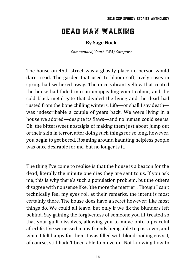## <span id="page-24-0"></span>Dead Man Walking

#### **By Sage Nock**

*Commended, Youth (WA) Category*

The house on 45th street was a ghastly place no person would dare tread. The garden that used to bloom soft, lively roses in spring had withered away. The once vibrant yellow that coated the house had faded into an unappealing vomit colour, and the cold black metal gate that divided the living and the dead had rusted from the bone chilling winters. Life—or shall I say death was indescribable a couple of years back. We were living in a house we adored—despite its flaws—and no human could see us. Oh, the bittersweet nostalgia of making them just about jump out of their skin in terror, after doing such things for so long, however, you begin to get bored. Roaming around haunting helpless people was once desirable for me, but no longer is it.

The thing I've come to realise is that the house is a beacon for the dead, literally the minute one dies they are sent to us. If you ask me, this is why there's such a population problem, but the others disagree with nonsense like, 'the more the merrier'. Though I can't technically feel my eyes roll at their remarks, the intent is most certainly there. The house does have a secret however; like most things do. We could all leave, but only if we fix the blunders left behind. Say gaining the forgiveness of someone you ill-treated so that your guilt dissolves, allowing you to move onto a peaceful afterlife. I've witnessed many friends being able to pass over, and while I felt happy for them, I was filled with blood-boiling envy. I, of course, still hadn't been able to move on. Not knowing how to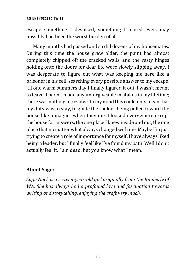#### An Unexpected Twist

escape something I despised, something I feared even, may possibly had been the worst burden of all.

Many months had passed and so did dozens of my housemates. During this time the house grew older, the paint had almost completely chipped off the cracked walls, and the rusty hinges holding onto the doors for dear life were slowly slipping away. I was desperate to figure out what was keeping me here like a prisoner in his cell, searching every possible answer to my escape, 'til one warm summers day I finally figured it out. I wasn't meant to leave. I hadn't made any unforgiveable mistakes in my lifetime; there was nothing to resolve. In my mind this could only mean that my duty was to stay, to guide the rookies being pulled toward the house like a magnet when they die. I looked everywhere except the house for answers, the one place I knew inside and out, the one place that no matter what always changed with me. Maybe I'm just trying to create a role of importance for myself. I have always liked being a leader, but I finally feel like I've found my path. Well I don't actually feel it, I am dead, but you know what I mean.

#### **About Sage:**

*Sage Nock is a sixteen-year-old girl originally from the Kimberly of WA. She has always had a profound love and fascination towards writing and storytelling, enjoying the craft very much.*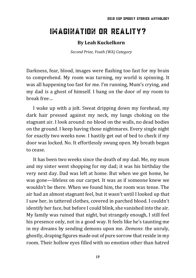# <span id="page-26-0"></span>IMAGINATION OR REALITY?

#### **By Leah Kuckelkorn**

*Second Prize, Youth (WA) Category*

Darkness, fear, blood, images were flashing too fast for my brain to comprehend. My room was turning, my world is spinning. It was all happening too fast for me. I'm running, Mum's crying, and my dad is a ghost of himself. I bang on the door of my room to break free…

I wake up with a jolt. Sweat dripping down my forehead, my dark hair pressed against my neck, my lungs choking on the stagnant air. I look around: no blood on the walls, no dead bodies on the ground. I keep having those nightmares. Every single night for exactly two weeks now. I hastily get out of bed to check if my door was locked. No. It effortlessly swung open. My breath began to cease.

It has been two weeks since the death of my dad. Me, my mum and my sister went shopping for my dad; it was his birthday the very next day. Dad was left at home. But when we got home, he was gone—lifeless on our carpet. It was as if someone knew we wouldn't be there. When we found him, the room was tense. The air had an almost stagnant feel, but it wasn't until I looked up that I saw her, in tattered clothes, covered in parched blood. I couldn't identify her face, but before I could blink, she vanished into the air. My family was ruined that night, but strangely enough, I still feel his presence only, not in a good way. It feels like he's taunting me in my dreams by sending demons upon me. *Demons*: the unruly, ghostly, draping figures made out of pure sorrow that reside in my room. Their hollow eyes filled with no emotion other than hatred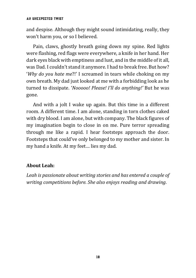#### An Unexpected Twist

and despise. Although they might sound intimidating, really, they won't harm you, or so I believed.

Pain, claws, ghostly breath going down my spine. Red lights were flashing, red flags were everywhere, a knife in her hand. Her dark eyes black with emptiness and lust, and in the middle of it all, was Dad. I couldn't stand it anymore. I had to break free. But how? '*Why do you hate me*?!' I screamed in tears while choking on my own breath. My dad just looked at me with a forbidding look as he turned to dissipate. '*Nooooo! Please! I'll do anything!'* But he was gone.

And with a jolt I wake up again. But this time in a different room. A different time. I am alone, standing in torn clothes caked with dry blood. I am alone, but with company. The black figures of my imagination begin to close in on me. Pure terror spreading through me like a rapid. I hear footsteps approach the door. Footsteps that could've only belonged to my mother and sister. In my hand a knife. At my feet… lies my dad.

#### **About Leah:**

*Leah is passionate about writing stories and has entered a couple of writing competitions before. She also enjoys reading and drawing.*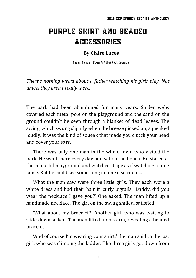# <span id="page-28-0"></span>Purple Shirt and Beaded Accessories

#### **By Claire Luces**

*First Prize, Youth (WA) Category*

*There's nothing weird about a father watching his girls play. Not unless they aren't really there.*

The park had been abandoned for many years. Spider webs covered each metal pole on the playground and the sand on the ground couldn't be seen through a blanket of dead leaves. The swing, which swung slightly when the breeze picked up, squeaked loudly. It was the kind of squeak that made you clutch your head and cover your ears.

There was only one man in the whole town who visited the park. He went there every day and sat on the bench. He stared at the colourful playground and watched it age as if watching a time lapse. But he could see something no one else could...

What the man saw were three little girls. They each wore a white dress and had their hair in curly pigtails. 'Daddy, did you wear the necklace I gave you?' One asked. The man lifted up a handmade necklace. The girl on the swing smiled, satisfied.

'What about my bracelet?' Another girl, who was waiting to slide down, asked. The man lifted up his arm, revealing a beaded bracelet.

'And of course I'm wearing your shirt,' the man said to the last girl, who was climbing the ladder. The three girls got down from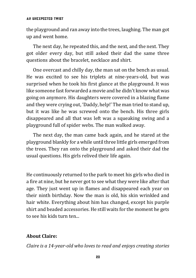the playground and ran away into the trees, laughing. The man got up and went home.

The next day, he repeated this, and the next, and the next. They got older every day, but still asked their dad the same three questions about the bracelet, necklace and shirt.

One overcast and chilly day, the man sat on the bench as usual. He was excited to see his triplets at nine-years-old, but was surprised when he took his first glance at the playground. It was like someone fast forwarded a movie and he didn't know what was going on anymore. His daughters were covered in a blazing flame and they were crying out, 'Daddy, help!' The man tried to stand up, but it was like he was screwed onto the bench. His three girls disappeared and all that was left was a squeaking swing and a playground full of spider webs. The man walked away.

The next day, the man came back again, and he stared at the playground blankly for a while until three little girls emerged from the trees. They ran onto the playground and asked their dad the usual questions. His girls relived their life again.

He continuously returned to the park to meet his girls who died in a fire at nine, but he never got to see what they were like after that age. They just went up in flames and disappeared each year on their ninth birthday. Now the man is old, his skin wrinkled and hair white. Everything about him has changed, except his purple shirt and beaded accessories. He still waits for the moment he gets to see his kids turn ten...

### **About Claire:**

*Claire is a 14-year-old who loves to read and enjoys creating stories*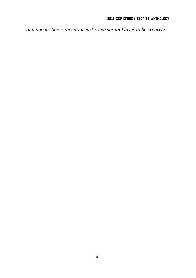*and poems. She is an enthusiastic learner and loves to be creative.*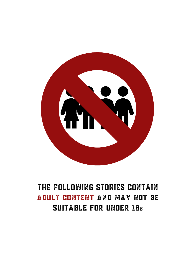

# <span id="page-31-0"></span>The following stories contain adult content and MAY not BE suitable for under 18s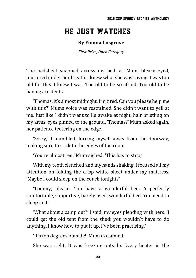## <span id="page-32-0"></span>He Just Watches

#### **By Fionna Cosgrove**

*First Prize, Open Category*

The bedsheet snapped across my bed, as Mum, bleary eyed, muttered under her breath. I knew what she was saying. I was too old for this. I knew I was. Too old to be so afraid. Too old to be having accidents.

'Thomas, it's almost midnight. I'm tired. Can you please help me with this?' Mums voice was restrained. She didn't want to yell at me. Just like I didn't want to lie awake at night, hair bristling on my arms, eyes pinned to the ground. 'Thomas?' Mum asked again, her patience teetering on the edge.

'Sorry,' I mumbled, forcing myself away from the doorway, making sure to stick to the edges of the room.

'You're almost ten,' Mum sighed. 'This has to stop,'

With my teeth clenched and my hands shaking, I focused all my attention on folding the crisp white sheet under my mattress. 'Maybe I could sleep on the couch tonight?'

'Tommy, please. You have a wonderful bed. A perfectly comfortable, supportive, barely used, wonderful bed. You need to sleep in it.'

'What about a camp out?' I said, my eyes pleading with hers. 'I could get the old tent from the shed; you wouldn't have to do anything. I know how to put it up. I've been practising.'

'It's ten degrees outside!' Mum exclaimed.

She was right. It was freezing outside. Every heater in the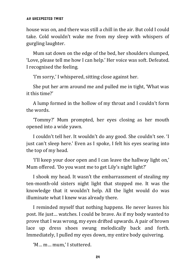house was on, and there was still a chill in the air. But cold I could take. Cold wouldn't wake me from my sleep with whispers of gurgling laughter.

Mum sat down on the edge of the bed, her shoulders slumped, 'Love, please tell me how I can help.' Her voice was soft. Defeated. I recognised the feeling.

'I'm sorry,' I whispered, sitting close against her.

She put her arm around me and pulled me in tight, 'What was it this time?'

A lump formed in the hollow of my throat and I couldn't form the words.

'Tommy?' Mum prompted, her eyes closing as her mouth opened into a wide yawn.

I couldn't tell her. It wouldn't do any good. She couldn't see. 'I just can't sleep here.' Even as I spoke, I felt his eyes searing into the top of my head.

'I'll keep your door open and I can leave the hallway light on,' Mum offered. 'Do you want me to get Lily's night light?'

I shook my head. It wasn't the embarrassment of stealing my ten-month-old sisters night light that stopped me. It was the knowledge that it wouldn't help. All the light would do was illuminate what I knew was already there.

I reminded myself that nothing happens. He never leaves his post. He just… watches. I could be brave. As if my body wanted to prove that I was wrong, my eyes drifted upwards. A pair of brown lace up dress shoes swung melodically back and forth. Immediately, I pulled my eyes down, my entire body quivering.

'M… m… mum,' I stuttered.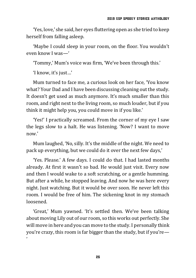'Yes, love,' she said, her eyes fluttering open as she tried to keep herself from falling asleep.

'Maybe I could sleep in your room, on the floor. You wouldn't even know I was—'

'Tommy,' Mum's voice was firm, 'We've been through this.'

'I know, it's just…'

Mum turned to face me, a curious look on her face, 'You know what? Your Dad and I have been discussing cleaning out the study. It doesn't get used as much anymore. It's much smaller than this room, and right next to the living room, so much louder, but if you think it might help you, you could move in if you like.'

'Yes!' I practically screamed. From the corner of my eye I saw the legs slow to a halt. He was listening. 'Now? I want to move now.'

Mum laughed, 'No, silly. It's the middle of the night. We need to pack up everything, but we could do it over the next few days,'

'Yes. Please.' A few days. I could do that. I had lasted months already. At first it wasn't so bad. He would just visit. Every now and then I would wake to a soft scratching, or a gentle humming. But after a while, he stopped leaving. And now he was here every night. Just watching. But it would be over soon. He never left this room. I would be free of him. The sickening knot in my stomach loosened.

'Great,' Mum yawned. 'It's settled then. We've been talking about moving Lily out of our room, so this works out perfectly. She will move in here and you can move to the study. I personally think you're crazy, this room is far bigger than the study, but if you're— '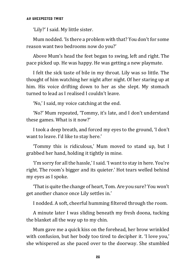'Lily?' I said. My little sister.

Mum nodded. 'Is there a problem with that? You don't for some reason want two bedrooms now do you?'

Above Mum's head the feet began to swing, left and right. The pace picked up. He was happy. He was getting a new playmate.

I felt the sick taste of bile in my throat. Lily was so little. The thought of him watching her night after night. Of her staring up at him. His voice drifting down to her as she slept. My stomach turned to lead as I realised I couldn't leave.

'No,' I said, my voice catching at the end.

'No?' Mum repeated, 'Tommy, it's late, and I don't understand these games. What is it now?'

I took a deep breath, and forced my eyes to the ground, 'I don't want to leave. I'd like to stay here.'

'Tommy this is ridiculous,' Mum moved to stand up, but I grabbed her hand, holding it tightly in mine.

'I'm sorry for all the hassle,' I said. 'I want to stay in here. You're right. The room's bigger and its quieter.' Hot tears welled behind my eyes as I spoke.

'That is quite the change of heart, Tom. Are you sure? You won't get another chance once Lily settles in.'

I nodded. A soft, cheerful humming filtered through the room.

A minute later I was sliding beneath my fresh doona, tucking the blanket all the way up to my chin.

Mum gave me a quick kiss on the forehead, her brow wrinkled with confusion, but her body too tired to decipher it. 'I love you,' she whispered as she paced over to the doorway. She stumbled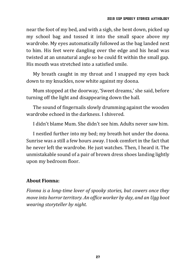near the foot of my bed, and with a sigh, she bent down, picked up my school bag and tossed it into the small space above my wardrobe. My eyes automatically followed as the bag landed next to him. His feet were dangling over the edge and his head was twisted at an unnatural angle so he could fit within the small gap. His mouth was stretched into a satisfied smile.

My breath caught in my throat and I snapped my eyes back down to my knuckles, now white against my doona.

Mum stopped at the doorway, 'Sweet dreams,' she said, before turning off the light and disappearing down the hall.

The sound of fingernails slowly drumming against the wooden wardrobe echoed in the darkness. I shivered.

I didn't blame Mum. She didn't see him. Adults never saw him.

I nestled further into my bed; my breath hot under the doona. Sunrise was a still a few hours away. I took comfort in the fact that he never left the wardrobe. He just watches. Then, I heard it. The unmistakable sound of a pair of brown dress shoes landing lightly upon my bedroom floor.

### **About Fionna:**

*Fionna is a long-time lover of spooky stories, but cowers once they move into horror territory. An office worker by day, and an Ugg boot wearing storyteller by night.*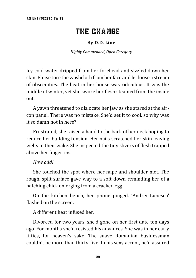# THE CHANGE

#### **By D.D. Line**

*Highly Commended, Open Category*

<span id="page-37-0"></span>Icy cold water dripped from her forehead and sizzled down her skin. Eloise tore the washcloth from her face and let loose a stream of obscenities. The heat in her house was ridiculous. It was the middle of winter, yet she swore her flesh steamed from the inside out.

A yawn threatened to dislocate her jaw as she stared at the aircon panel. There was no mistake. She'd set it to cool, so why was it so damn hot in here?

Frustrated, she raised a hand to the back of her neck hoping to reduce her building tension. Her nails scratched her skin leaving welts in their wake. She inspected the tiny slivers of flesh trapped above her fingertips.

#### *How odd!*

She touched the spot where her nape and shoulder met. The rough, split surface gave way to a soft down reminding her of a hatching chick emerging from a cracked egg.

On the kitchen bench, her phone pinged. 'Andrei Lupescu' flashed on the screen.

A different heat infused her.

Divorced for two years, she'd gone on her first date ten days ago. For months she'd resisted his advances. She was in her early fifties, for heaven's sake. The suave Romanian businessman couldn't be more than thirty-five. In his sexy accent, he'd assured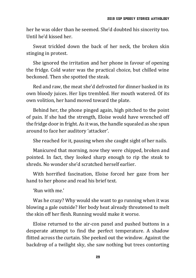her he was older than he seemed. She'd doubted his sincerity too. Until he'd kissed her.

Sweat trickled down the back of her neck, the broken skin stinging in protest.

She ignored the irritation and her phone in favour of opening the fridge. Cold water was the practical choice, but chilled wine beckoned. Then she spotted the steak.

Red and raw, the meat she'd defrosted for dinner basked in its own bloody juices. Her lips trembled. Her mouth watered. Of its own volition, her hand moved toward the plate.

Behind her, the phone pinged again, high pitched to the point of pain. If she had the strength, Eloise would have wrenched off the fridge door in fright. As it was, the handle squealed as she spun around to face her auditory 'attacker'.

She reached for it, pausing when she caught sight of her nails.

Manicured that morning, now they were chipped, broken and pointed. In fact, they looked sharp enough to rip the steak to shreds. No wonder she'd scratched herself earlier.

With horrified fascination, Eloise forced her gaze from her hand to her phone and read his brief text.

'Run with me.'

Was he crazy? Why would she want to go running when it was blowing a gale outside? Her body heat already threatened to melt the skin off her flesh. Running would make it worse.

Eloise returned to the air-con panel and pushed buttons in a desperate attempt to find the perfect temperature. A shadow flitted across the curtain. She peeked out the window. Against the backdrop of a twilight sky, she saw nothing but trees contorting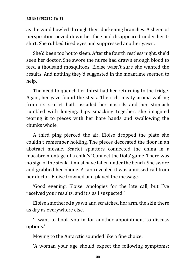#### An unexpected Twist

as the wind howled through their darkening branches. A sheen of perspiration oozed down her face and disappeared under her tshirt. She rubbed tired eyes and suppressed another yawn.

She'd been too hot to sleep. After the fourth restless night, she'd seen her doctor. She swore the nurse had drawn enough blood to feed a thousand mosquitoes. Eloise wasn't sure she wanted the results. And nothing they'd suggested in the meantime seemed to help.

The need to quench her thirst had her returning to the fridge. Again, her gaze found the steak. The rich, meaty aroma wafting from its scarlet bath assailed her nostrils and her stomach rumbled with longing. Lips smacking together, she imagined tearing it to pieces with her bare hands and swallowing the chunks whole.

A third ping pierced the air. Eloise dropped the plate she couldn't remember holding. The pieces decorated the floor in an abstract mosaic. Scarlet splatters connected the china in a macabre montage of a child's 'Connect the Dots' game. There was no sign of the steak. It must have fallen under the bench. She swore and grabbed her phone. A tap revealed it was a missed call from her doctor. Eloise frowned and played the message.

'Good evening, Eloise. Apologies for the late call, but I've received your results, and it's as I suspected.'

Eloise smothered a yawn and scratched her arm, the skin there as dry as everywhere else.

'I want to book you in for another appointment to discuss options.'

Moving to the Antarctic sounded like a fine choice.

'A woman your age should expect the following symptoms: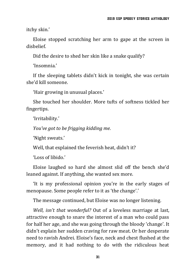itchy skin.'

Eloise stopped scratching her arm to gape at the screen in disbelief.

Did the desire to shed her skin like a snake qualify?

'Insomnia.'

If the sleeping tablets didn't kick in tonight, she was certain she'd kill someone.

'Hair growing in unusual places.'

She touched her shoulder. More tufts of softness tickled her fingertips.

'Irritability.'

*You've got to be frigging kidding me.*

'Night sweats.'

Well, that explained the feverish heat, didn't it?

'Loss of libido.'

Eloise laughed so hard she almost slid off the bench she'd leaned against. If anything, she wanted sex more.

'It is my professional opinion you're in the early stages of menopause. Some people refer to it as 'the change'.'

The message continued, but Eloise was no longer listening.

*Well, isn't that wonderful?* Out of a loveless marriage at last, attractive enough to snare the interest of a man who could pass for half her age, and she was going through the bloody 'change'. It didn't explain her sudden craving for raw meat. Or her desperate need to ravish Andrei. Eloise's face, neck and chest flushed at the memory, and it had nothing to do with the ridiculous heat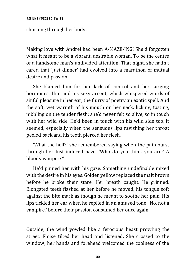#### An unexpected Twist

churning through her body.

Making love with Andrei had been A-MAZE-ING! She'd forgotten what it meant to be a vibrant, desirable woman. To be the centre of a handsome man's undivided attention. That night, she hadn't cared that 'just dinner' had evolved into a marathon of mutual desire and passion.

She blamed him for her lack of control and her surging hormones. Him and his sexy accent, which whispered words of sinful pleasure in her ear, the flurry of poetry an exotic spell. And the soft, wet warmth of his mouth on her neck, licking, tasting, nibbling on the tender flesh; she'd never felt so alive, so in touch with her wild side. He'd been in touch with his wild side too, it seemed, especially when the sensuous lips ravishing her throat peeled back and his teeth pierced her flesh.

'What the hell?' she remembered saying when the pain burst through her lust-induced haze. 'Who do you think you are? A bloody vampire?'

He'd pinned her with his gaze. Something undefinable mixed with the desire in his eyes. Golden yellow replaced the malt brown before he broke their stare. Her breath caught. He grinned. Elongated teeth flashed at her before he moved, his tongue soft against the bite mark as though he meant to soothe her pain. His lips tickled her ear when he replied in an amused tone, 'No, not a vampire,' before their passion consumed her once again.

Outside, the wind yowled like a ferocious beast prowling the street. Eloise tilted her head and listened. She crossed to the window, her hands and forehead welcomed the coolness of the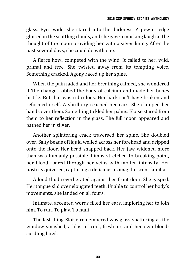glass. Eyes wide, she stared into the darkness. A pewter edge glinted in the scuttling clouds, and she gave a mocking laugh at the thought of the moon providing her with a silver lining. After the past several days, she could do with one.

A fierce howl competed with the wind. It called to her, wild, primal and free. She twisted away from its tempting voice. Something cracked. Agony raced up her spine.

When the pain faded and her breathing calmed, she wondered if 'the change' robbed the body of calcium and made her bones brittle. But that was ridiculous. Her back can't have broken and reformed itself. A shrill cry reached her ears. She clamped her hands over them. Something tickled her palms. Eloise stared from them to her reflection in the glass. The full moon appeared and bathed her in silver.

Another splintering crack traversed her spine. She doubled over. Salty beads of liquid welled across her forehead and dripped onto the floor. Her head snapped back. Her jaw widened more than was humanly possible. Limbs stretched to breaking point, her blood roared through her veins with molten intensity. Her nostrils quivered, capturing a delicious aroma; the scent familiar.

A loud thud reverberated against her front door. She gasped. Her tongue slid over elongated teeth. Unable to control her body's movements, she landed on all fours.

Intimate, accented words filled her ears, imploring her to join him. To run. To play. To hunt.

The last thing Eloise remembered was glass shattering as the window smashed, a blast of cool, fresh air, and her own bloodcurdling howl.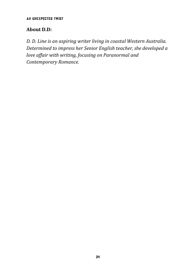An unexpected Twist

#### **About D.D:**

*D. D. Line is an aspiring writer living in coastal Western Australia. Determined to impress her Senior English teacher, she developed a love affair with writing, focusing on Paranormal and Contemporary Romance.*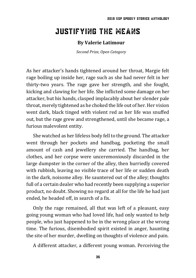# <span id="page-44-0"></span>Justifying the Means

#### **By Valerie Latimour**

*Second Prize, Open Category*

As her attacker's hands tightened around her throat, Margie felt rage boiling up inside her, rage such as she had never felt in her thirty-two years. The rage gave her strength, and she fought, kicking and clawing for her life. She inflicted some damage on her attacker, but his hands, clasped implacably about her slender pale throat, merely tightened as he choked the life out of her. Her vision went dark, black tinged with violent red as her life was snuffed out, but the rage grew and strengthened, until she became rage, a furious malevolent entity.

She watched as her lifeless body fell to the ground. The attacker went through her pockets and handbag, pocketing the small amount of cash and jewellery she carried. The handbag, her clothes, and her corpse were unceremoniously discarded in the large dumpster in the corner of the alley, then hurriedly covered with rubbish, leaving no visible trace of her life or sudden death in the dark, noisome alley. He sauntered out of the alley; thoughts full of a certain dealer who had recently been supplying a superior product, no doubt. Showing no regard at all for the life he had just ended, he headed off, in search of a fix.

Only the rage remained, all that was left of a pleasant, easy going young woman who had loved life, had only wanted to help people, who just happened to be in the wrong place at the wrong time. The furious, disembodied spirit existed in anger, haunting the site of her murder, dwelling on thoughts of violence and pain.

A different attacker, a different young woman. Perceiving the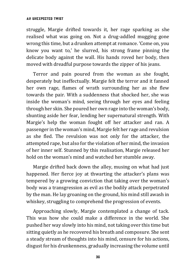struggle, Margie drifted towards it, her rage sparking as she realised what was going on. Not a drug-addled mugging gone wrong this time, but a drunken attempt at romance. 'Come on, you know you want to,' he slurred, his strong frame pinning the delicate body against the wall. His hands roved her body, then moved with dreadful purpose towards the zipper of his jeans.

Terror and pain poured from the woman as she fought, desperately but ineffectually. Margie felt the terror and it fanned her own rage, flames of wrath surrounding her as she flew towards the pair. With a suddenness that shocked her, she was inside the woman's mind, seeing through her eyes and feeling through her skin. She poured her own rage into the woman's body, shunting aside her fear, lending her supernatural strength. With Margie's help the woman fought off her attacker and ran. A passenger in the woman's mind, Margie felt her rage and revulsion as she fled. The revulsion was not only for the attacker, the attempted rape, but also for the violation of her mind, the invasion of her inner self. Stunned by this realisation, Margie released her hold on the woman's mind and watched her stumble away.

Margie drifted back down the alley, musing on what had just happened. Her fierce joy at thwarting the attacker's plans was tempered by a growing conviction that taking over the woman's body was a transgression as evil as the bodily attack perpetrated by the man. He lay groaning on the ground, his mind still awash in whiskey, struggling to comprehend the progression of events.

Approaching slowly, Margie contemplated a change of tack. This was how she could make a difference in the world. She pushed her way slowly into his mind, not taking over this time but sitting quietly as he recovered his breath and composure. She sent a steady stream of thoughts into his mind, censure for his actions, disgust for his drunkenness, gradually increasing the volume until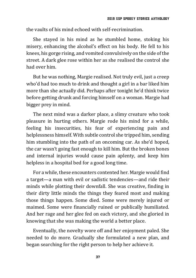the vaults of his mind echoed with self-recrimination.

She stayed in his mind as he stumbled home, stoking his misery, enhancing the alcohol's effect on his body. He fell to his knees, his gorge rising, and vomited convulsively on the side of the street. A dark glee rose within her as she realised the control she had over him.

But he was nothing, Margie realised. Not truly evil, just a creep who'd had too much to drink and thought a girl in a bar liked him more than she actually did. Perhaps after tonight he'd think twice before getting drunk and forcing himself on a woman. Margie had bigger prey in mind.

The next mind was a darker place, a slimy creature who took pleasure in hurting others. Margie rode his mind for a while, feeling his insecurities, his fear of experiencing pain and helplessness himself. With subtle control she tripped him, sending him stumbling into the path of an oncoming car. As she'd hoped, the car wasn't going fast enough to kill him. But the broken bones and internal injuries would cause pain aplenty, and keep him helpless in a hospital bed for a good long time.

For a while, these encounters contented her. Margie would find a target—a man with evil or sadistic tendencies—and ride their minds while plotting their downfall. She was creative, finding in their dirty little minds the things they feared most and making those things happen. Some died. Some were merely injured or maimed. Some were financially ruined or publically humiliated. And her rage and her glee fed on each victory, and she gloried in knowing that she was making the world a better place.

Eventually, the novelty wore off and her enjoyment paled. She needed to do more. Gradually she formulated a new plan, and began searching for the right person to help her achieve it.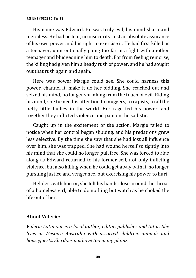#### An unexpected Twist

His name was Edward. He was truly evil, his mind sharp and merciless. He had no fear, no insecurity, just an absolute assurance of his own power and his right to exercise it. He had first killed as a teenager, unintentionally going too far in a fight with another teenager and bludgeoning him to death. Far from feeling remorse, the killing had given him a heady rush of power, and he had sought out that rush again and again.

Here was power Margie could see. She could harness this power, channel it, make it do her bidding. She reached out and seized his mind, no longer shrinking from the touch of evil. Riding his mind, she turned his attention to muggers, to rapists, to all the petty little bullies in the world. Her rage fed his power, and together they inflicted violence and pain on the sadistic.

Caught up in the excitement of the action, Margie failed to notice when her control began slipping, and his predations grew less selective. By the time she saw that she had lost all influence over him, she was trapped. She had wound herself so tightly into his mind that she could no longer pull free. She was forced to ride along as Edward returned to his former self, not only inflicting violence, but also killing when he could get away with it, no longer pursuing justice and vengeance, but exercising his power to hurt.

Helpless with horror, she felt his hands close around the throat of a homeless girl, able to do nothing but watch as he choked the life out of her.

#### **About Valerie:**

*Valerie Latimour is a local author, editor, publisher and tutor. She lives in Western Australia with assorted children, animals and houseguests. She does not have too many plants.*